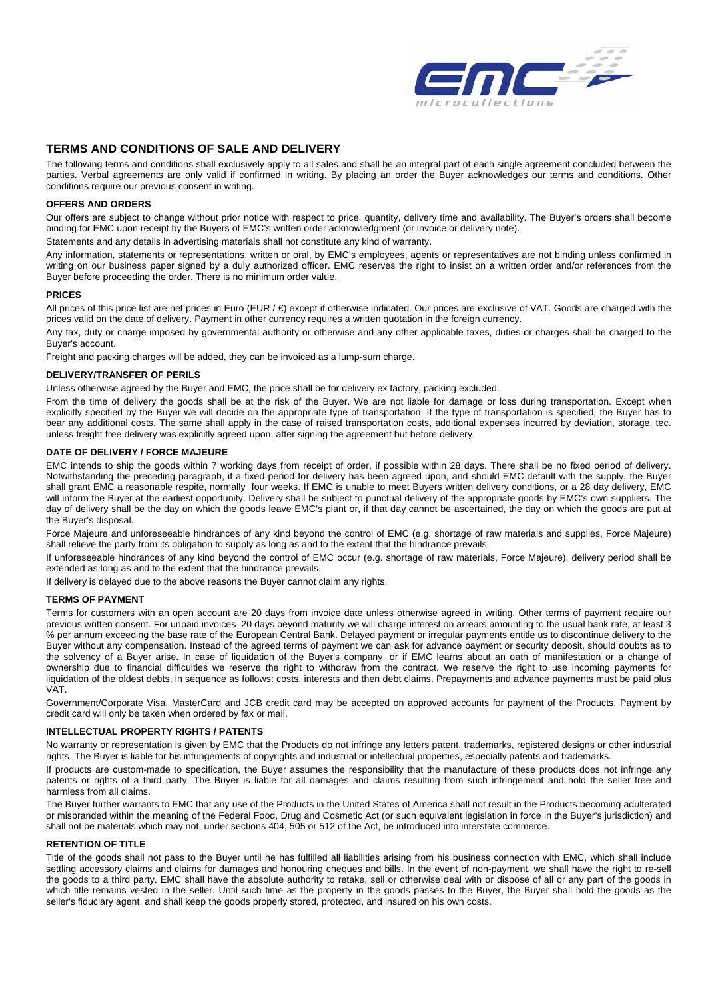

# **TERMS AND CONDITIONS OF SALE AND DELIVERY**

The following terms and conditions shall exclusively apply to all sales and shall be an integral part of each single agreement concluded between the parties. Verbal agreements are only valid if confirmed in writing. By placing an order the Buyer acknowledges our terms and conditions. Other conditions require our previous consent in writing.

### **OFFERS AND ORDERS**

Our offers are subject to change without prior notice with respect to price, quantity, delivery time and availability. The Buyer's orders shall become binding for EMC upon receipt by the Buyers of EMC's written order acknowledgment (or invoice or delivery note).

Statements and any details in advertising materials shall not constitute any kind of warranty.

Any information, statements or representations, written or oral, by EMC's employees, agents or representatives are not binding unless confirmed in writing on our business paper signed by a duly authorized officer. EMC reserves the right to insist on a written order and/or references from the Buyer before proceeding the order. There is no minimum order value.

#### **PRICES**

All prices of this price list are net prices in Euro (EUR / €) except if otherwise indicated. Our prices are exclusive of VAT. Goods are charged with the prices valid on the date of delivery. Payment in other currency requires a written quotation in the foreign currency.

Any tax, duty or charge imposed by governmental authority or otherwise and any other applicable taxes, duties or charges shall be charged to the Buyer's account.

Freight and packing charges will be added, they can be invoiced as a lump-sum charge.

### **DELIVERY/TRANSFER OF PERILS**

Unless otherwise agreed by the Buyer and EMC, the price shall be for delivery ex factory, packing excluded.

From the time of delivery the goods shall be at the risk of the Buyer. We are not liable for damage or loss during transportation. Except when explicitly specified by the Buyer we will decide on the appropriate type of transportation. If the type of transportation is specified, the Buyer has to bear any additional costs. The same shall apply in the case of raised transportation costs, additional expenses incurred by deviation, storage, tec. unless freight free delivery was explicitly agreed upon, after signing the agreement but before delivery.

### **DATE OF DELIVERY / FORCE MAJEURE**

EMC intends to ship the goods within 7 working days from receipt of order, if possible within 28 days. There shall be no fixed period of delivery. Notwithstanding the preceding paragraph, if a fixed period for delivery has been agreed upon, and should EMC default with the supply, the Buyer shall grant EMC a reasonable respite, normally four weeks. If EMC is unable to meet Buyers written delivery conditions, or a 28 day delivery, EMC will inform the Buver at the earliest opportunity. Delivery shall be subject to punctual delivery of the appropriate goods by EMC's own suppliers. The day of delivery shall be the day on which the goods leave EMC's plant or, if that day cannot be ascertained, the day on which the goods are put at the Buyer's disposal.

Force Majeure and unforeseeable hindrances of any kind beyond the control of EMC (e.g. shortage of raw materials and supplies, Force Majeure) shall relieve the party from its obligation to supply as long as and to the extent that the hindrance prevails.

If unforeseeable hindrances of any kind beyond the control of EMC occur (e.g. shortage of raw materials, Force Majeure), delivery period shall be extended as long as and to the extent that the hindrance prevails.

If delivery is delayed due to the above reasons the Buyer cannot claim any rights.

### **TERMS OF PAYMENT**

Terms for customers with an open account are 20 days from invoice date unless otherwise agreed in writing. Other terms of payment require our previous written consent. For unpaid invoices 20 days beyond maturity we will charge interest on arrears amounting to the usual bank rate, at least 3 % per annum exceeding the base rate of the European Central Bank. Delayed payment or irregular payments entitle us to discontinue delivery to the Buyer without any compensation. Instead of the agreed terms of payment we can ask for advance payment or security deposit, should doubts as to the solvency of a Buyer arise. In case of liquidation of the Buyer's company, or if EMC learns about an oath of manifestation or a change of ownership due to financial difficulties we reserve the right to withdraw from the contract. We reserve the right to use incoming payments for liquidation of the oldest debts, in sequence as follows: costs, interests and then debt claims. Prepayments and advance payments must be paid plus VAT.

Government/Corporate Visa, MasterCard and JCB credit card may be accepted on approved accounts for payment of the Products. Payment by credit card will only be taken when ordered by fax or mail.

# **INTELLECTUAL PROPERTY RIGHTS / PATENTS**

No warranty or representation is given by EMC that the Products do not infringe any letters patent, trademarks, registered designs or other industrial rights. The Buyer is liable for his infringements of copyrights and industrial or intellectual properties, especially patents and trademarks.

If products are custom-made to specification, the Buyer assumes the responsibility that the manufacture of these products does not infringe any patents or rights of a third party. The Buyer is liable for all damages and claims resulting from such infringement and hold the seller free and harmless from all claims.

The Buyer further warrants to EMC that any use of the Products in the United States of America shall not result in the Products becoming adulterated or misbranded within the meaning of the Federal Food, Drug and Cosmetic Act (or such equivalent legislation in force in the Buyer's jurisdiction) and shall not be materials which may not, under sections 404, 505 or 512 of the Act, be introduced into interstate commerce.

## **RETENTION OF TITLE**

Title of the goods shall not pass to the Buyer until he has fulfilled all liabilities arising from his business connection with EMC, which shall include settling accessory claims and claims for damages and honouring cheques and bills. In the event of non-payment, we shall have the right to re-sell the goods to a third party. EMC shall have the absolute authority to retake, sell or otherwise deal with or dispose of all or any part of the goods in which title remains vested in the seller. Until such time as the property in the goods passes to the Buyer, the Buyer shall hold the goods as the seller's fiduciary agent, and shall keep the goods properly stored, protected, and insured on his own costs.